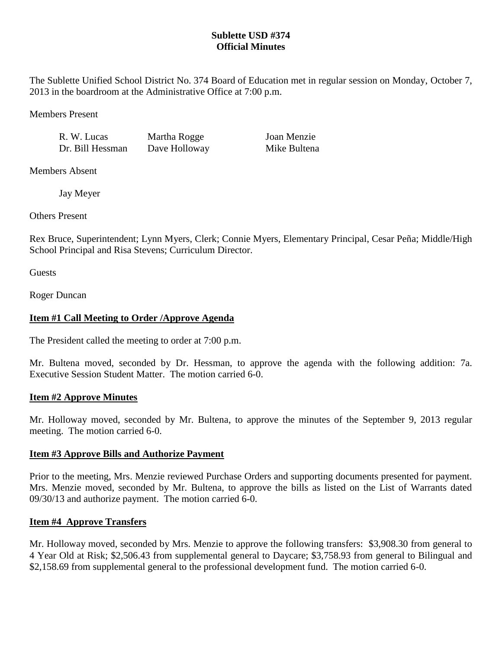## **Sublette USD #374 Official Minutes**

The Sublette Unified School District No. 374 Board of Education met in regular session on Monday, October 7, 2013 in the boardroom at the Administrative Office at 7:00 p.m.

Members Present

R. W. Lucas Martha Rogge Joan Menzie Dr. Bill Hessman Dave Holloway Mike Bultena

Members Absent

Jay Meyer

Others Present

Rex Bruce, Superintendent; Lynn Myers, Clerk; Connie Myers, Elementary Principal, Cesar Peña; Middle/High School Principal and Risa Stevens; Curriculum Director.

**Guests** 

Roger Duncan

# **Item #1 Call Meeting to Order /Approve Agenda**

The President called the meeting to order at 7:00 p.m.

Mr. Bultena moved, seconded by Dr. Hessman, to approve the agenda with the following addition: 7a. Executive Session Student Matter. The motion carried 6-0.

## **Item #2 Approve Minutes**

Mr. Holloway moved, seconded by Mr. Bultena, to approve the minutes of the September 9, 2013 regular meeting. The motion carried 6-0.

## **Item #3 Approve Bills and Authorize Payment**

Prior to the meeting, Mrs. Menzie reviewed Purchase Orders and supporting documents presented for payment. Mrs. Menzie moved, seconded by Mr. Bultena, to approve the bills as listed on the List of Warrants dated 09/30/13 and authorize payment. The motion carried 6-0.

## **Item #4 Approve Transfers**

Mr. Holloway moved, seconded by Mrs. Menzie to approve the following transfers: \$3,908.30 from general to 4 Year Old at Risk; \$2,506.43 from supplemental general to Daycare; \$3,758.93 from general to Bilingual and \$2,158.69 from supplemental general to the professional development fund. The motion carried 6-0.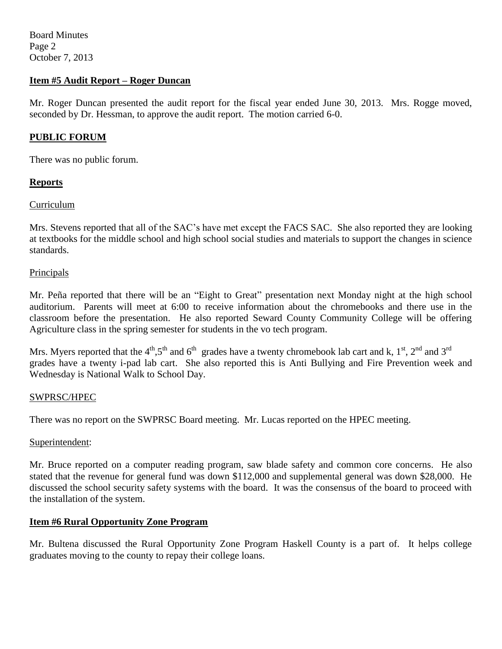Board Minutes Page 2 October 7, 2013

### **Item #5 Audit Report – Roger Duncan**

Mr. Roger Duncan presented the audit report for the fiscal year ended June 30, 2013. Mrs. Rogge moved, seconded by Dr. Hessman, to approve the audit report. The motion carried 6-0.

### **PUBLIC FORUM**

There was no public forum.

### **Reports**

### Curriculum

Mrs. Stevens reported that all of the SAC's have met except the FACS SAC. She also reported they are looking at textbooks for the middle school and high school social studies and materials to support the changes in science standards.

#### **Principals**

Mr. Peña reported that there will be an "Eight to Great" presentation next Monday night at the high school auditorium. Parents will meet at 6:00 to receive information about the chromebooks and there use in the classroom before the presentation. He also reported Seward County Community College will be offering Agriculture class in the spring semester for students in the vo tech program.

Mrs. Myers reported that the 4<sup>th</sup>,5<sup>th</sup> and 6<sup>th</sup> grades have a twenty chromebook lab cart and k, 1<sup>st</sup>, 2<sup>nd</sup> and 3<sup>rd</sup> grades have a twenty i-pad lab cart. She also reported this is Anti Bullying and Fire Prevention week and Wednesday is National Walk to School Day.

#### SWPRSC/HPEC

There was no report on the SWPRSC Board meeting. Mr. Lucas reported on the HPEC meeting.

#### Superintendent:

Mr. Bruce reported on a computer reading program, saw blade safety and common core concerns. He also stated that the revenue for general fund was down \$112,000 and supplemental general was down \$28,000. He discussed the school security safety systems with the board. It was the consensus of the board to proceed with the installation of the system.

## **Item #6 Rural Opportunity Zone Program**

Mr. Bultena discussed the Rural Opportunity Zone Program Haskell County is a part of. It helps college graduates moving to the county to repay their college loans.